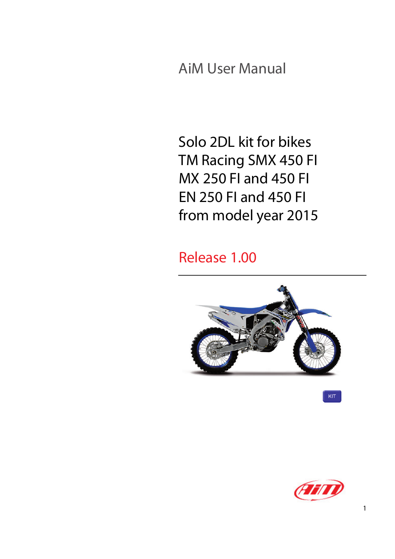AiM User Manual

Solo 2DL kit for bikes TM Racing SMX 450 FI MX 250 FI and 450 FI EN 250 FI and 450 FI from model year 2015

Release 1.00





 $KIT$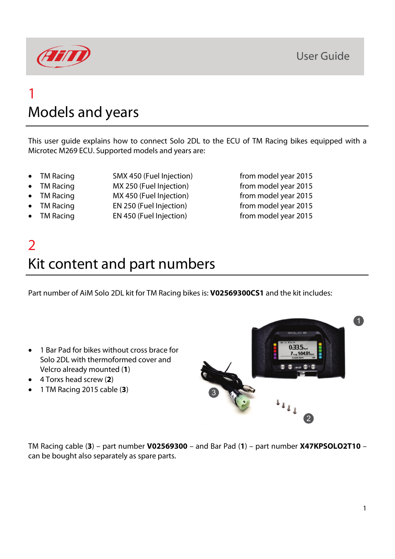

## 1 Models and years

This user guide explains how to connect Solo 2DL to the ECU of TM Racing bikes equipped with a Microtec M269 ECU. Supported models and years are:

- 
- TM Racing SMX 450 (Fuel Injection) from model year 2015
- 
- TM Racing MX 450 (Fuel Injection) from model year 2015
- TM Racing EN 250 (Fuel Injection) from model year 2015
- TM Racing EN 450 (Fuel Injection) from model year 2015

• TM Racing MX 250 (Fuel Injection) from model year 2015

## 2 Kit content and part numbers

Part number of AiM Solo 2DL kit for TM Racing bikes is: **V02569300CS1** and the kit includes:

- 1 Bar Pad for bikes without cross brace for Solo 2DL with thermoformed cover and Velcro already mounted (**1**)
- 4 Torxs head screw (**2**)
- 1 TM Racing 2015 cable (**3**)



TM Racing cable (**3**) – part number **V02569300** – and Bar Pad (**1**) – part number **X47KPSOLO2T10** – can be bought also separately as spare parts.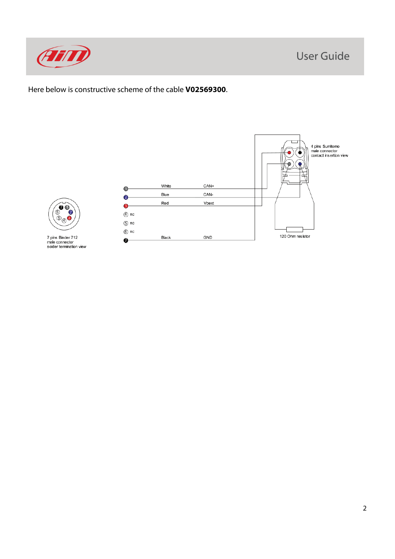



Here below is constructive scheme of the cable **V02569300**.



7 pins Binder 712<br>male connector<br>solder termination view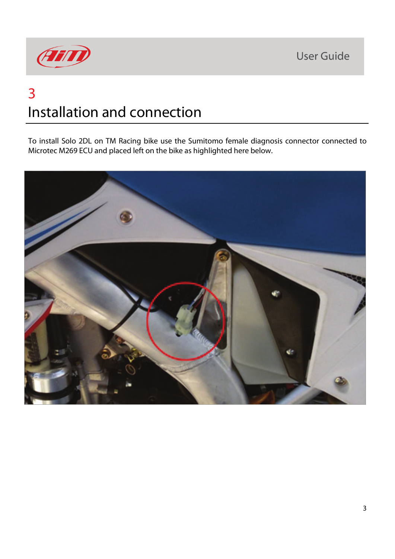**User Guide** 



# 3 Installation and connection

To install Solo 2DL on TM Racing bike use the Sumitomo female diagnosis connector connected to Microtec M269 ECU and placed left on the bike as highlighted here below.

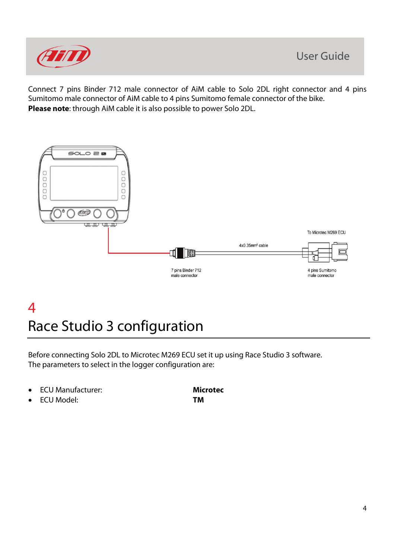

Connect 7 pins Binder 712 male connector of AiM cable to Solo 2DL right connector and 4 pins Sumitomo male connector of AiM cable to 4 pins Sumitomo female connector of the bike. **Please note**: through AiM cable it is also possible to power Solo 2DL.



#### 4 Race Studio 3 configuration

Before connecting Solo 2DL to Microtec M269 ECU set it up using Race Studio 3 software. The parameters to select in the logger configuration are:

- ECU Manufacturer: **Microtec**
- ECU Model: **TM**